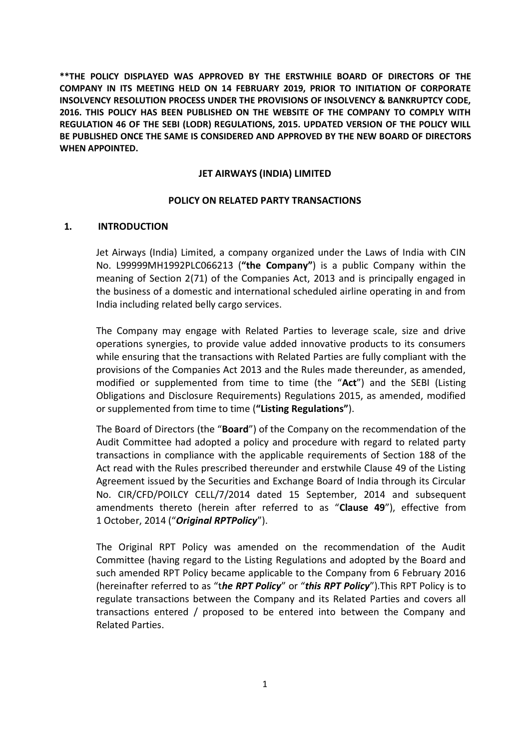**\*\*THE POLICY DISPLAYED WAS APPROVED BY THE ERSTWHILE BOARD OF DIRECTORS OF THE COMPANY IN ITS MEETING HELD ON 14 FEBRUARY 2019, PRIOR TO INITIATION OF CORPORATE INSOLVENCY RESOLUTION PROCESS UNDER THE PROVISIONS OF INSOLVENCY & BANKRUPTCY CODE, 2016. THIS POLICY HAS BEEN PUBLISHED ON THE WEBSITE OF THE COMPANY TO COMPLY WITH REGULATION 46 OF THE SEBI (LODR) REGULATIONS, 2015. UPDATED VERSION OF THE POLICY WILL BE PUBLISHED ONCE THE SAME IS CONSIDERED AND APPROVED BY THE NEW BOARD OF DIRECTORS WHEN APPOINTED.**

## **JET AIRWAYS (INDIA) LIMITED**

## **POLICY ON RELATED PARTY TRANSACTIONS**

## **1. INTRODUCTION**

Jet Airways (India) Limited, a company organized under the Laws of India with CIN No. L99999MH1992PLC066213 (**"the Company"**) is a public Company within the meaning of Section 2(71) of the Companies Act, 2013 and is principally engaged in the business of a domestic and international scheduled airline operating in and from India including related belly cargo services.

The Company may engage with Related Parties to leverage scale, size and drive operations synergies, to provide value added innovative products to its consumers while ensuring that the transactions with Related Parties are fully compliant with the provisions of the Companies Act 2013 and the Rules made thereunder, as amended, modified or supplemented from time to time (the "**Act**") and the SEBI (Listing Obligations and Disclosure Requirements) Regulations 2015, as amended, modified or supplemented from time to time (**"Listing Regulations"**).

The Board of Directors (the "**Board**") of the Company on the recommendation of the Audit Committee had adopted a policy and procedure with regard to related party transactions in compliance with the applicable requirements of Section 188 of the Act read with the Rules prescribed thereunder and erstwhile Clause 49 of the Listing Agreement issued by the Securities and Exchange Board of India through its Circular No. CIR/CFD/POILCY CELL/7/2014 dated 15 September, 2014 and subsequent amendments thereto (herein after referred to as "**Clause 49**"), effective from 1 October, 2014 ("*Original RPTPolicy*").

The Original RPT Policy was amended on the recommendation of the Audit Committee (having regard to the Listing Regulations and adopted by the Board and such amended RPT Policy became applicable to the Company from 6 February 2016 (hereinafter referred to as "t*he RPT Policy*" or "*this RPT Policy*").This RPT Policy is to regulate transactions between the Company and its Related Parties and covers all transactions entered / proposed to be entered into between the Company and Related Parties.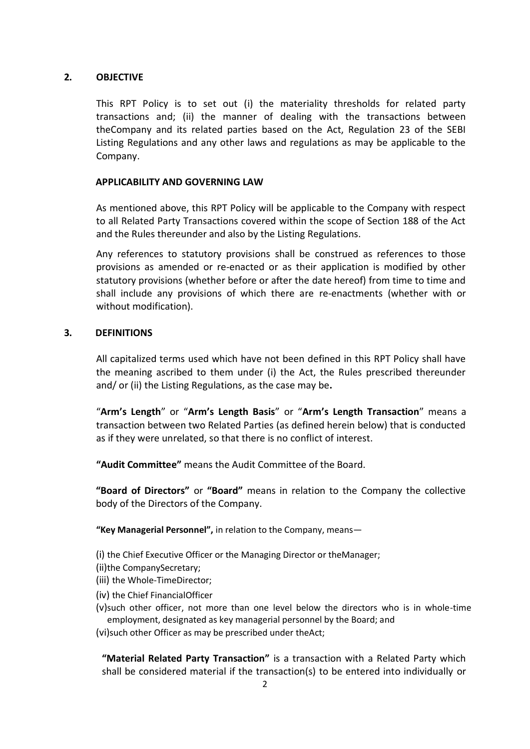# **2. OBJECTIVE**

This RPT Policy is to set out (i) the materiality thresholds for related party transactions and; (ii) the manner of dealing with the transactions between theCompany and its related parties based on the Act, Regulation 23 of the SEBI Listing Regulations and any other laws and regulations as may be applicable to the Company.

## **APPLICABILITY AND GOVERNING LAW**

As mentioned above, this RPT Policy will be applicable to the Company with respect to all Related Party Transactions covered within the scope of Section 188 of the Act and the Rules thereunder and also by the Listing Regulations.

Any references to statutory provisions shall be construed as references to those provisions as amended or re-enacted or as their application is modified by other statutory provisions (whether before or after the date hereof) from time to time and shall include any provisions of which there are re-enactments (whether with or without modification).

## **3. DEFINITIONS**

All capitalized terms used which have not been defined in this RPT Policy shall have the meaning ascribed to them under (i) the Act, the Rules prescribed thereunder and/ or (ii) the Listing Regulations, as the case may be**.**

"**Arm's Length**" or "**Arm's Length Basis**" or "**Arm's Length Transaction**" means a transaction between two Related Parties (as defined herein below) that is conducted as if they were unrelated, so that there is no conflict of interest.

**"Audit Committee"** means the Audit Committee of the Board.

**"Board of Directors"** or **"Board"** means in relation to the Company the collective body of the Directors of the Company.

**"Key Managerial Personnel",** in relation to the Company, means—

(i) the Chief Executive Officer or the Managing Director or theManager;

- (ii)the CompanySecretary;
- (iii) the Whole-TimeDirector;
- (iv) the Chief FinancialOfficer
- (v)such other officer, not more than one level below the directors who is in whole-time employment, designated as key managerial personnel by the Board; and

(vi)such other Officer as may be prescribed under theAct;

**"Material Related Party Transaction"** is a transaction with a Related Party which shall be considered material if the transaction(s) to be entered into individually or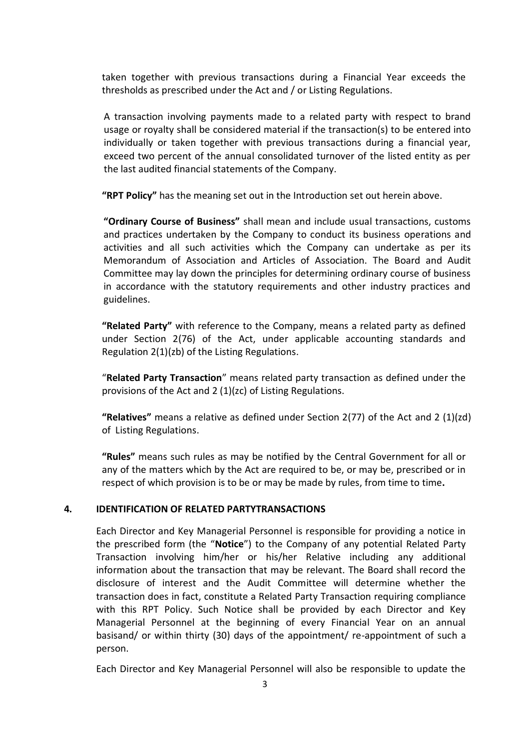taken together with previous transactions during a Financial Year exceeds the thresholds as prescribed under the Act and / or Listing Regulations.

A transaction involving payments made to a related party with respect to brand usage or royalty shall be considered material if the transaction(s) to be entered into individually or taken together with previous transactions during a financial year, exceed two percent of the annual consolidated turnover of the listed entity as per the last audited financial statements of the Company.

**"RPT Policy"** has the meaning set out in the Introduction set out herein above.

**"Ordinary Course of Business"** shall mean and include usual transactions, customs and practices undertaken by the Company to conduct its business operations and activities and all such activities which the Company can undertake as per its Memorandum of Association and Articles of Association. The Board and Audit Committee may lay down the principles for determining ordinary course of business in accordance with the statutory requirements and other industry practices and guidelines.

**"Related Party"** with reference to the Company, means a related party as defined under Section 2(76) of the Act, under applicable accounting standards and Regulation 2(1)(zb) of the Listing Regulations.

"**Related Party Transaction**" means related party transaction as defined under the provisions of the Act and 2 (1)(zc) of Listing Regulations.

**"Relatives"** means a relative as defined under Section 2(77) of the Act and 2 (1)(zd) of Listing Regulations.

**"Rules"** means such rules as may be notified by the Central Government for all or any of the matters which by the Act are required to be, or may be, prescribed or in respect of which provision is to be or may be made by rules, from time to time**.**

## **4. IDENTIFICATION OF RELATED PARTYTRANSACTIONS**

Each Director and Key Managerial Personnel is responsible for providing a notice in the prescribed form (the "**Notice**") to the Company of any potential Related Party Transaction involving him/her or his/her Relative including any additional information about the transaction that may be relevant. The Board shall record the disclosure of interest and the Audit Committee will determine whether the transaction does in fact, constitute a Related Party Transaction requiring compliance with this RPT Policy. Such Notice shall be provided by each Director and Key Managerial Personnel at the beginning of every Financial Year on an annual basisand/ or within thirty (30) days of the appointment/ re-appointment of such a person.

Each Director and Key Managerial Personnel will also be responsible to update the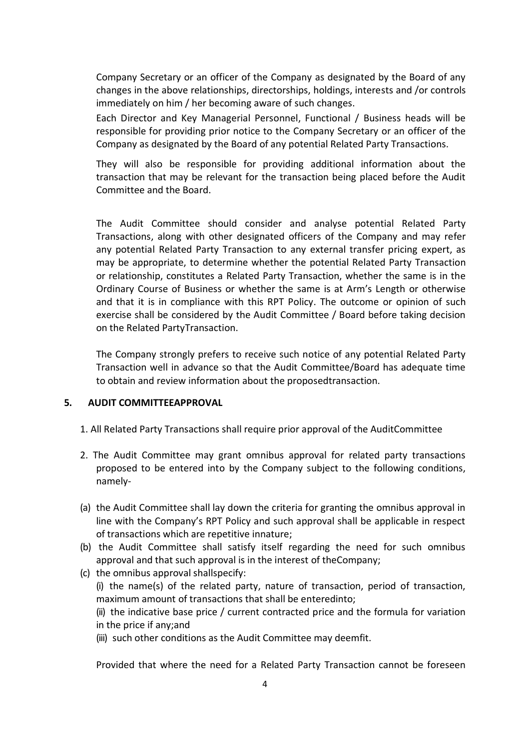Company Secretary or an officer of the Company as designated by the Board of any changes in the above relationships, directorships, holdings, interests and /or controls immediately on him / her becoming aware of such changes.

Each Director and Key Managerial Personnel, Functional / Business heads will be responsible for providing prior notice to the Company Secretary or an officer of the Company as designated by the Board of any potential Related Party Transactions.

They will also be responsible for providing additional information about the transaction that may be relevant for the transaction being placed before the Audit Committee and the Board.

The Audit Committee should consider and analyse potential Related Party Transactions, along with other designated officers of the Company and may refer any potential Related Party Transaction to any external transfer pricing expert, as may be appropriate, to determine whether the potential Related Party Transaction or relationship, constitutes a Related Party Transaction, whether the same is in the Ordinary Course of Business or whether the same is at Arm's Length or otherwise and that it is in compliance with this RPT Policy. The outcome or opinion of such exercise shall be considered by the Audit Committee / Board before taking decision on the Related PartyTransaction.

The Company strongly prefers to receive such notice of any potential Related Party Transaction well in advance so that the Audit Committee/Board has adequate time to obtain and review information about the proposedtransaction.

## **5. AUDIT COMMITTEEAPPROVAL**

- 1. All Related Party Transactions shall require prior approval of the AuditCommittee
- 2. The Audit Committee may grant omnibus approval for related party transactions proposed to be entered into by the Company subject to the following conditions, namely-
- (a) the Audit Committee shall lay down the criteria for granting the omnibus approval in line with the Company's RPT Policy and such approval shall be applicable in respect of transactions which are repetitive innature;
- (b) the Audit Committee shall satisfy itself regarding the need for such omnibus approval and that such approval is in the interest of theCompany;
- (c) the omnibus approval shallspecify: (i) the name(s) of the related party, nature of transaction, period of transaction, maximum amount of transactions that shall be enteredinto; (ii) the indicative base price / current contracted price and the formula for variation
	- in the price if any;and
	- (iii) such other conditions as the Audit Committee may deemfit.

Provided that where the need for a Related Party Transaction cannot be foreseen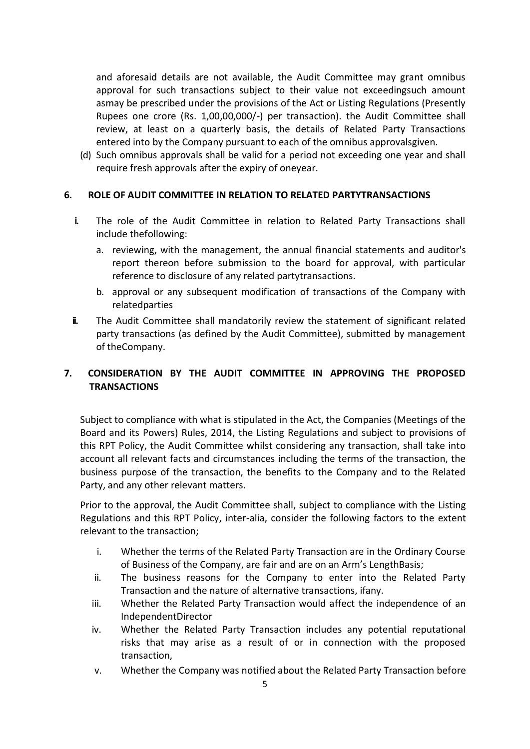and aforesaid details are not available, the Audit Committee may grant omnibus approval for such transactions subject to their value not exceedingsuch amount asmay be prescribed under the provisions of the Act or Listing Regulations (Presently Rupees one crore (Rs. 1,00,00,000/-) per transaction). the Audit Committee shall review, at least on a quarterly basis, the details of Related Party Transactions entered into by the Company pursuant to each of the omnibus approvalsgiven.

(d) Such omnibus approvals shall be valid for a period not exceeding one year and shall require fresh approvals after the expiry of oneyear.

# **6. ROLE OF AUDIT COMMITTEE IN RELATION TO RELATED PARTYTRANSACTIONS**

- **i.** The role of the Audit Committee in relation to Related Party Transactions shall include thefollowing:
	- a. reviewing, with the management, the annual financial statements and auditor's report thereon before submission to the board for approval, with particular reference to disclosure of any related partytransactions.
	- b. approval or any subsequent modification of transactions of the Company with relatedparties
- **ii.** The Audit Committee shall mandatorily review the statement of significant related party transactions (as defined by the Audit Committee), submitted by management of theCompany.

# **7. CONSIDERATION BY THE AUDIT COMMITTEE IN APPROVING THE PROPOSED TRANSACTIONS**

Subject to compliance with what is stipulated in the Act, the Companies (Meetings of the Board and its Powers) Rules, 2014, the Listing Regulations and subject to provisions of this RPT Policy, the Audit Committee whilst considering any transaction, shall take into account all relevant facts and circumstances including the terms of the transaction, the business purpose of the transaction, the benefits to the Company and to the Related Party, and any other relevant matters.

Prior to the approval, the Audit Committee shall, subject to compliance with the Listing Regulations and this RPT Policy, inter-alia, consider the following factors to the extent relevant to the transaction;

- i. Whether the terms of the Related Party Transaction are in the Ordinary Course of Business of the Company, are fair and are on an Arm's LengthBasis;
- ii. The business reasons for the Company to enter into the Related Party Transaction and the nature of alternative transactions, ifany.
- iii. Whether the Related Party Transaction would affect the independence of an IndependentDirector
- iv. Whether the Related Party Transaction includes any potential reputational risks that may arise as a result of or in connection with the proposed transaction,
- v. Whether the Company was notified about the Related Party Transaction before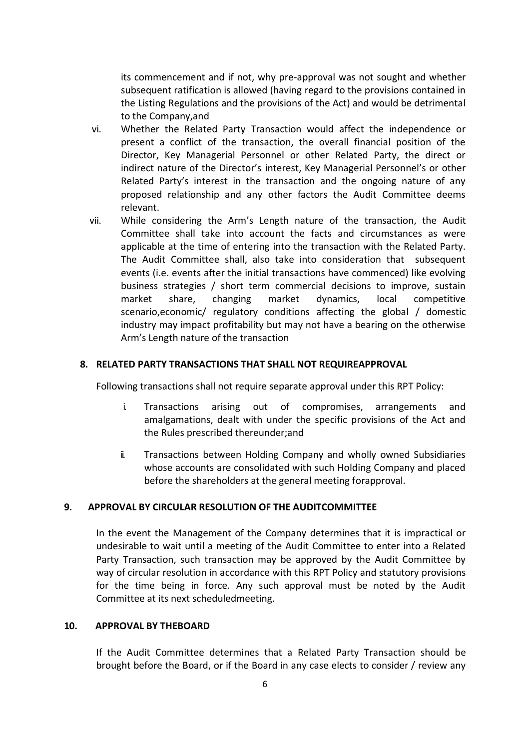its commencement and if not, why pre-approval was not sought and whether subsequent ratification is allowed (having regard to the provisions contained in the Listing Regulations and the provisions of the Act) and would be detrimental to the Company,and

- vi. Whether the Related Party Transaction would affect the independence or present a conflict of the transaction, the overall financial position of the Director, Key Managerial Personnel or other Related Party, the direct or indirect nature of the Director's interest, Key Managerial Personnel's or other Related Party's interest in the transaction and the ongoing nature of any proposed relationship and any other factors the Audit Committee deems relevant.
- vii. While considering the Arm's Length nature of the transaction, the Audit Committee shall take into account the facts and circumstances as were applicable at the time of entering into the transaction with the Related Party. The Audit Committee shall, also take into consideration that subsequent events (i.e. events after the initial transactions have commenced) like evolving business strategies / short term commercial decisions to improve, sustain market share, changing market dynamics, local competitive scenario,economic/ regulatory conditions affecting the global / domestic industry may impact profitability but may not have a bearing on the otherwise Arm's Length nature of the transaction

### **8. RELATED PARTY TRANSACTIONS THAT SHALL NOT REQUIREAPPROVAL**

Following transactions shall not require separate approval under this RPT Policy:

- i. Transactions arising out of compromises, arrangements and amalgamations, dealt with under the specific provisions of the Act and the Rules prescribed thereunder;and
- ii. Transactions between Holding Company and wholly owned Subsidiaries whose accounts are consolidated with such Holding Company and placed before the shareholders at the general meeting forapproval.

#### **9. APPROVAL BY CIRCULAR RESOLUTION OF THE AUDITCOMMITTEE**

In the event the Management of the Company determines that it is impractical or undesirable to wait until a meeting of the Audit Committee to enter into a Related Party Transaction, such transaction may be approved by the Audit Committee by way of circular resolution in accordance with this RPT Policy and statutory provisions for the time being in force. Any such approval must be noted by the Audit Committee at its next scheduledmeeting.

### **10. APPROVAL BY THEBOARD**

If the Audit Committee determines that a Related Party Transaction should be brought before the Board, or if the Board in any case elects to consider / review any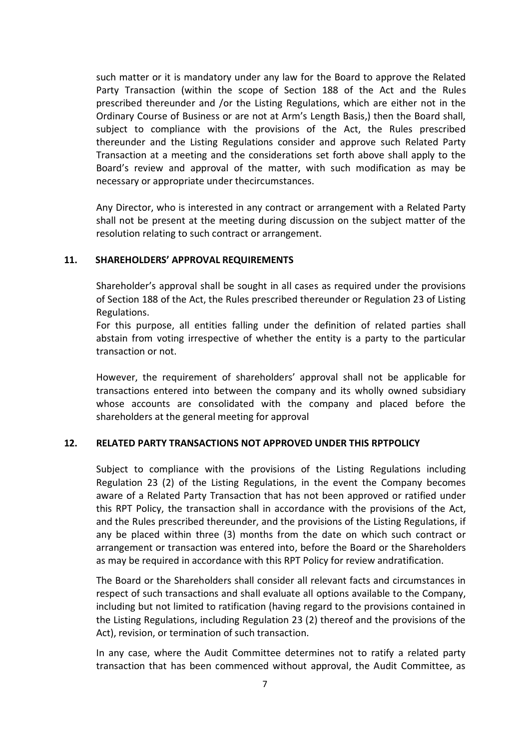such matter or it is mandatory under any law for the Board to approve the Related Party Transaction (within the scope of Section 188 of the Act and the Rules prescribed thereunder and /or the Listing Regulations, which are either not in the Ordinary Course of Business or are not at Arm's Length Basis,) then the Board shall, subject to compliance with the provisions of the Act, the Rules prescribed thereunder and the Listing Regulations consider and approve such Related Party Transaction at a meeting and the considerations set forth above shall apply to the Board's review and approval of the matter, with such modification as may be necessary or appropriate under thecircumstances.

Any Director, who is interested in any contract or arrangement with a Related Party shall not be present at the meeting during discussion on the subject matter of the resolution relating to such contract or arrangement.

## **11. SHAREHOLDERS' APPROVAL REQUIREMENTS**

Shareholder's approval shall be sought in all cases as required under the provisions of Section 188 of the Act, the Rules prescribed thereunder or Regulation 23 of Listing Regulations.

For this purpose, all entities falling under the definition of related parties shall abstain from voting irrespective of whether the entity is a party to the particular transaction or not.

However, the requirement of shareholders' approval shall not be applicable for transactions entered into between the company and its wholly owned subsidiary whose accounts are consolidated with the company and placed before the shareholders at the general meeting for approval

## **12. RELATED PARTY TRANSACTIONS NOT APPROVED UNDER THIS RPTPOLICY**

Subject to compliance with the provisions of the Listing Regulations including Regulation 23 (2) of the Listing Regulations, in the event the Company becomes aware of a Related Party Transaction that has not been approved or ratified under this RPT Policy, the transaction shall in accordance with the provisions of the Act, and the Rules prescribed thereunder, and the provisions of the Listing Regulations, if any be placed within three (3) months from the date on which such contract or arrangement or transaction was entered into, before the Board or the Shareholders as may be required in accordance with this RPT Policy for review andratification.

The Board or the Shareholders shall consider all relevant facts and circumstances in respect of such transactions and shall evaluate all options available to the Company, including but not limited to ratification (having regard to the provisions contained in the Listing Regulations, including Regulation 23 (2) thereof and the provisions of the Act), revision, or termination of such transaction.

In any case, where the Audit Committee determines not to ratify a related party transaction that has been commenced without approval, the Audit Committee, as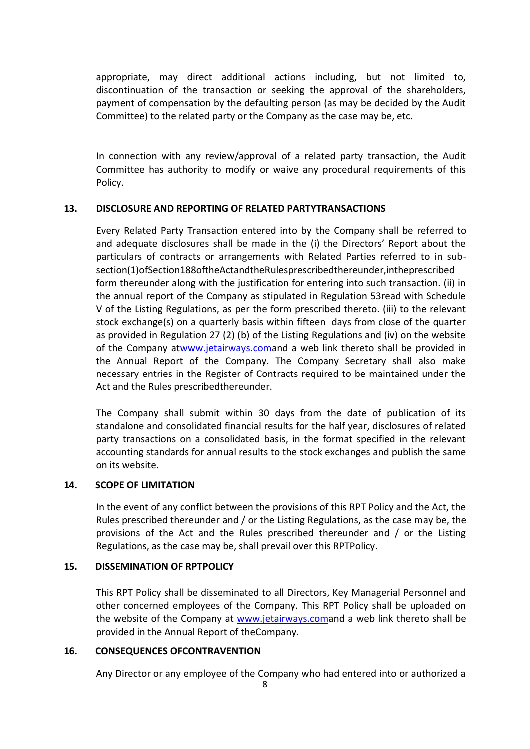appropriate, may direct additional actions including, but not limited to, discontinuation of the transaction or seeking the approval of the shareholders, payment of compensation by the defaulting person (as may be decided by the Audit Committee) to the related party or the Company as the case may be, etc.

In connection with any review/approval of a related party transaction, the Audit Committee has authority to modify or waive any procedural requirements of this Policy.

# **13. DISCLOSURE AND REPORTING OF RELATED PARTYTRANSACTIONS**

Every Related Party Transaction entered into by the Company shall be referred to and adequate disclosures shall be made in the (i) the Directors' Report about the particulars of contracts or arrangements with Related Parties referred to in subsection(1)ofSection188oftheActandtheRulesprescribedthereunder,intheprescribed form thereunder along with the justification for entering into such transaction. (ii) in the annual report of the Company as stipulated in Regulation 53read with Schedule V of the Listing Regulations, as per the form prescribed thereto. (iii) to the relevant stock exchange(s) on a quarterly basis within fifteen days from close of the quarter as provided in Regulation 27 (2) (b) of the Listing Regulations and (iv) on the website of the Company a[twww.jetairways.coma](http://www.jetairways.com/)nd a web link thereto shall be provided in the Annual Report of the Company. The Company Secretary shall also make necessary entries in the Register of Contracts required to be maintained under the Act and the Rules prescribedthereunder.

The Company shall submit within 30 days from the date of publication of its standalone and consolidated financial results for the half year, disclosures of related party transactions on a consolidated basis, in the format specified in the relevant accounting standards for annual results to the stock exchanges and publish the same on its website.

## **14. SCOPE OF LIMITATION**

In the event of any conflict between the provisions of this RPT Policy and the Act, the Rules prescribed thereunder and / or the Listing Regulations, as the case may be, the provisions of the Act and the Rules prescribed thereunder and / or the Listing Regulations, as the case may be, shall prevail over this RPTPolicy.

## **15. DISSEMINATION OF RPTPOLICY**

This RPT Policy shall be disseminated to all Directors, Key Managerial Personnel and other concerned employees of the Company. This RPT Policy shall be uploaded on the website of the Company at [www.jetairways.coma](http://www.jetairways.com/)nd a web link thereto shall be provided in the Annual Report of theCompany.

## **16. CONSEQUENCES OFCONTRAVENTION**

Any Director or any employee of the Company who had entered into or authorized a